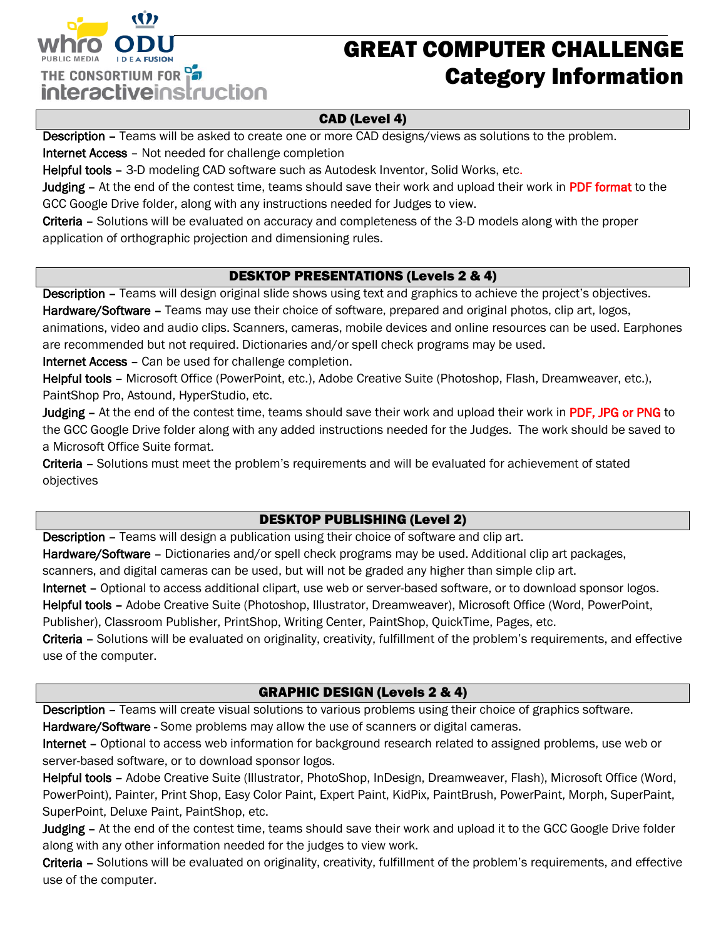

# GREAT COMPUTER CHALLENGE Category Information

### CAD (Level 4)

Description – Teams will be asked to create one or more CAD designs/views as solutions to the problem.

Internet Access – Not needed for challenge completion

Helpful tools – 3-D modeling CAD software such as Autodesk Inventor, Solid Works, etc.

Judging – At the end of the contest time, teams should save their work and upload their work in PDF format to the GCC Google Drive folder, along with any instructions needed for Judges to view.

Criteria – Solutions will be evaluated on accuracy and completeness of the 3-D models along with the proper application of orthographic projection and dimensioning rules.

## DESKTOP PRESENTATIONS (Levels 2 & 4)

Description - Teams will design original slide shows using text and graphics to achieve the project's objectives. Hardware/Software - Teams may use their choice of software, prepared and original photos, clip art, logos, animations, video and audio clips. Scanners, cameras, mobile devices and online resources can be used. Earphones are recommended but not required. Dictionaries and/or spell check programs may be used.

Internet Access – Can be used for challenge completion.

Helpful tools – Microsoft Office (PowerPoint, etc.), Adobe Creative Suite (Photoshop, Flash, Dreamweaver, etc.), PaintShop Pro, Astound, HyperStudio, etc.

Judging – At the end of the contest time, teams should save their work and upload their work in PDF, JPG or PNG to the GCC Google Drive folder along with any added instructions needed for the Judges. The work should be saved to a Microsoft Office Suite format.

Criteria – Solutions must meet the problem's requirements and will be evaluated for achievement of stated objectives

## DESKTOP PUBLISHING (Level 2)

Description – Teams will design a publication using their choice of software and clip art.

Hardware/Software – Dictionaries and/or spell check programs may be used. Additional clip art packages,

scanners, and digital cameras can be used, but will not be graded any higher than simple clip art.

Internet – Optional to access additional clipart, use web or server-based software, or to download sponsor logos.

Helpful tools – Adobe Creative Suite (Photoshop, Illustrator, Dreamweaver), Microsoft Office (Word, PowerPoint,

Publisher), Classroom Publisher, PrintShop, Writing Center, PaintShop, QuickTime, Pages, etc.

Criteria – Solutions will be evaluated on originality, creativity, fulfillment of the problem's requirements, and effective use of the computer.

## GRAPHIC DESIGN (Levels 2 & 4)

Description – Teams will create visual solutions to various problems using their choice of graphics software. Hardware/Software - Some problems may allow the use of scanners or digital cameras.

Internet – Optional to access web information for background research related to assigned problems, use web or server-based software, or to download sponsor logos.

Helpful tools – Adobe Creative Suite (Illustrator, PhotoShop, InDesign, Dreamweaver, Flash), Microsoft Office (Word, PowerPoint), Painter, Print Shop, Easy Color Paint, Expert Paint, KidPix, PaintBrush, PowerPaint, Morph, SuperPaint, SuperPoint, Deluxe Paint, PaintShop, etc.

Judging - At the end of the contest time, teams should save their work and upload it to the GCC Google Drive folder along with any other information needed for the judges to view work.

Criteria – Solutions will be evaluated on originality, creativity, fulfillment of the problem's requirements, and effective use of the computer.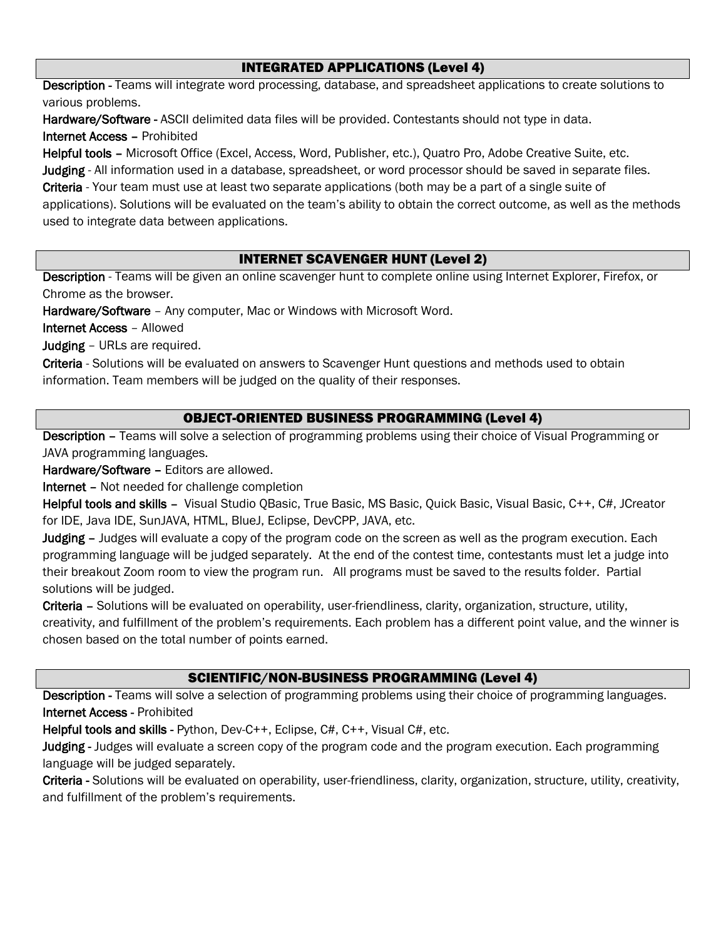#### INTEGRATED APPLICATIONS (Level 4)

Description - Teams will integrate word processing, database, and spreadsheet applications to create solutions to various problems.

Hardware/Software - ASCII delimited data files will be provided. Contestants should not type in data. Internet Access – Prohibited

Helpful tools – Microsoft Office (Excel, Access, Word, Publisher, etc.), Quatro Pro, Adobe Creative Suite, etc.

Judging - All information used in a database, spreadsheet, or word processor should be saved in separate files.

Criteria - Your team must use at least two separate applications (both may be a part of a single suite of

applications). Solutions will be evaluated on the team's ability to obtain the correct outcome, as well as the methods used to integrate data between applications.

### INTERNET SCAVENGER HUNT (Level 2)

Description - Teams will be given an online scavenger hunt to complete online using Internet Explorer, Firefox, or Chrome as the browser.

Hardware/Software – Any computer, Mac or Windows with Microsoft Word.

Internet Access – Allowed

Judging – URLs are required.

Criteria - Solutions will be evaluated on answers to Scavenger Hunt questions and methods used to obtain information. Team members will be judged on the quality of their responses.

### OBJECT-ORIENTED BUSINESS PROGRAMMING (Level 4)

Description – Teams will solve a selection of programming problems using their choice of Visual Programming or JAVA programming languages.

Hardware/Software – Editors are allowed.

Internet – Not needed for challenge completion

Helpful tools and skills – Visual Studio OBasic, True Basic, MS Basic, Ouick Basic, Visual Basic, C++, C#, JCreator for IDE, Java IDE, SunJAVA, HTML, BlueJ, Eclipse, DevCPP, JAVA, etc.

Judging – Judges will evaluate a copy of the program code on the screen as well as the program execution. Each programming language will be judged separately. At the end of the contest time, contestants must let a judge into their breakout Zoom room to view the program run. All programs must be saved to the results folder. Partial solutions will be judged.

Criteria – Solutions will be evaluated on operability, user-friendliness, clarity, organization, structure, utility, creativity, and fulfillment of the problem's requirements. Each problem has a different point value, and the winner is chosen based on the total number of points earned.

#### SCIENTIFIC/NON-BUSINESS PROGRAMMING (Level 4)

Description - Teams will solve a selection of programming problems using their choice of programming languages. Internet Access - Prohibited

Helpful tools and skills - Python, Dev-C++, Eclipse, C#, C++, Visual C#, etc.

Judging - Judges will evaluate a screen copy of the program code and the program execution. Each programming language will be judged separately.

Criteria - Solutions will be evaluated on operability, user-friendliness, clarity, organization, structure, utility, creativity, and fulfillment of the problem's requirements.